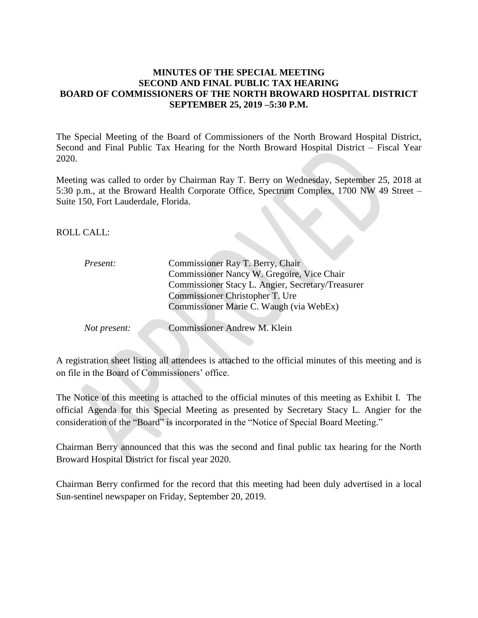## **MINUTES OF THE SPECIAL MEETING SECOND AND FINAL PUBLIC TAX HEARING BOARD OF COMMISSIONERS OF THE NORTH BROWARD HOSPITAL DISTRICT SEPTEMBER 25, 2019 –5:30 P.M.**

The Special Meeting of the Board of Commissioners of the North Broward Hospital District, Second and Final Public Tax Hearing for the North Broward Hospital District – Fiscal Year 2020.

Meeting was called to order by Chairman Ray T. Berry on Wednesday, September 25, 2018 at 5:30 p.m., at the Broward Health Corporate Office, Spectrum Complex, 1700 NW 49 Street – Suite 150, Fort Lauderdale, Florida.

ROLL CALL:

| <i>Present:</i>     | Commissioner Ray T. Berry, Chair                  |
|---------------------|---------------------------------------------------|
|                     | Commissioner Nancy W. Gregoire, Vice Chair        |
|                     | Commissioner Stacy L. Angier, Secretary/Treasurer |
|                     | Commissioner Christopher T. Ure                   |
|                     | Commissioner Marie C. Waugh (via WebEx)           |
|                     |                                                   |
| <i>Not present:</i> | Commissioner Andrew M. Klein                      |
|                     |                                                   |

A registration sheet listing all attendees is attached to the official minutes of this meeting and is on file in the Board of Commissioners' office.

The Notice of this meeting is attached to the official minutes of this meeting as Exhibit I. The official Agenda for this Special Meeting as presented by Secretary Stacy L. Angier for the consideration of the "Board" is incorporated in the "Notice of Special Board Meeting."

Chairman Berry announced that this was the second and final public tax hearing for the North Broward Hospital District for fiscal year 2020.

Chairman Berry confirmed for the record that this meeting had been duly advertised in a local Sun-sentinel newspaper on Friday, September 20, 2019.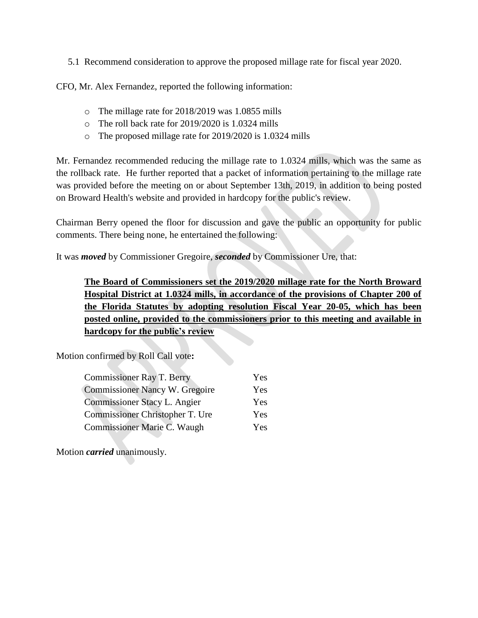5.1 Recommend consideration to approve the proposed millage rate for fiscal year 2020.

CFO, Mr. Alex Fernandez, reported the following information:

- o The millage rate for 2018/2019 was 1.0855 mills
- o The roll back rate for 2019/2020 is 1.0324 mills
- o The proposed millage rate for 2019/2020 is 1.0324 mills

Mr. Fernandez recommended reducing the millage rate to 1.0324 mills, which was the same as the rollback rate. He further reported that a packet of information pertaining to the millage rate was provided before the meeting on or about September 13th, 2019, in addition to being posted on Broward Health's website and provided in hardcopy for the public's review.

Chairman Berry opened the floor for discussion and gave the public an opportunity for public comments. There being none, he entertained the following:

It was *moved* by Commissioner Gregoire, *seconded* by Commissioner Ure, that:

**The Board of Commissioners set the 2019/2020 millage rate for the North Broward Hospital District at 1.0324 mills, in accordance of the provisions of Chapter 200 of the Florida Statutes by adopting resolution Fiscal Year 20-05, which has been posted online, provided to the commissioners prior to this meeting and available in hardcopy for the public's review**

Motion confirmed by Roll Call vote**:**

| <b>Commissioner Ray T. Berry</b>      | Yes        |
|---------------------------------------|------------|
| <b>Commissioner Nancy W. Gregoire</b> | Yes        |
| Commissioner Stacy L. Angier          | <b>Yes</b> |
| Commissioner Christopher T. Ure       | Yes        |
| Commissioner Marie C. Waugh           | Yes        |

Motion *carried* unanimously.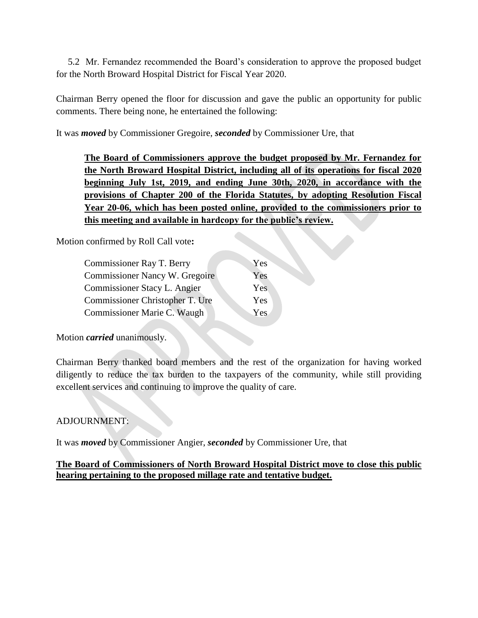5.2 Mr. Fernandez recommended the Board's consideration to approve the proposed budget for the North Broward Hospital District for Fiscal Year 2020.

Chairman Berry opened the floor for discussion and gave the public an opportunity for public comments. There being none, he entertained the following:

It was *moved* by Commissioner Gregoire, *seconded* by Commissioner Ure, that

**The Board of Commissioners approve the budget proposed by Mr. Fernandez for the North Broward Hospital District, including all of its operations for fiscal 2020 beginning July 1st, 2019, and ending June 30th, 2020, in accordance with the provisions of Chapter 200 of the Florida Statutes, by adopting Resolution Fiscal Year 20-06, which has been posted online, provided to the commissioners prior to this meeting and available in hardcopy for the public's review.** 

Motion confirmed by Roll Call vote**:**

| Commissioner Ray T. Berry       | Yes |
|---------------------------------|-----|
| Commissioner Nancy W. Gregoire  | Yes |
| Commissioner Stacy L. Angier    | Yes |
| Commissioner Christopher T. Ure | Yes |
| Commissioner Marie C. Waugh     | Yes |

Motion *carried* unanimously.

Chairman Berry thanked board members and the rest of the organization for having worked diligently to reduce the tax burden to the taxpayers of the community, while still providing excellent services and continuing to improve the quality of care.

## ADJOURNMENT:

It was *moved* by Commissioner Angier, *seconded* by Commissioner Ure, that

**The Board of Commissioners of North Broward Hospital District move to close this public hearing pertaining to the proposed millage rate and tentative budget.**